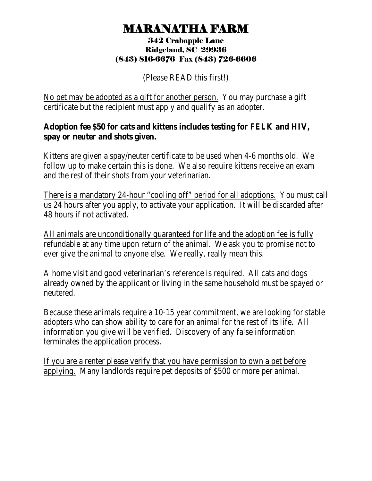## MARANATHA FARM 342 Crabapple Lane

## Ridgeland, SC 29936 (843) 816-6676 Fax (843) 726-6606

(Please READ this first!)

No pet may be adopted as a gift for another person. You may purchase a gift certificate but the recipient must apply and qualify as an adopter.

### **Adoption fee \$50 for cats and kittens includes testing for FELK and HIV, spay or neuter and shots given.**

Kittens are given a spay/neuter certificate to be used when 4-6 months old. We follow up to make certain this is done. We also require kittens receive an exam and the rest of their shots from your veterinarian.

There is a mandatory 24-hour "cooling off" period for all adoptions. You must call us 24 hours after you apply, to activate your application. It will be discarded after 48 hours if not activated.

All animals are unconditionally guaranteed for life and the adoption fee is fully refundable at any time upon return of the animal. We ask you to promise not to ever give the animal to anyone else. We really, really mean this.

A home visit and good veterinarian's reference is required. All cats and dogs already owned by the applicant or living in the same household must be spayed or neutered.

Because these animals require a 10-15 year commitment, we are looking for stable adopters who can show ability to care for an animal for the rest of its life. All information you give will be verified. Discovery of any false information terminates the application process.

If you are a renter please verify that you have permission to own a pet before applying. Many landlords require pet deposits of \$500 or more per animal.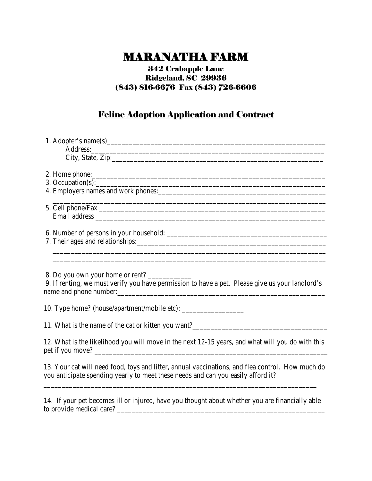# MARANATHA FARM 342 Crabapple Lane

## Ridgeland, SC 29936 (843) 816-6676 Fax (843) 726-6606

### Feline Adoption Application and Contract

| 2. Home phone:<br>3. Occupation(s):                                                                                                                                                  |
|--------------------------------------------------------------------------------------------------------------------------------------------------------------------------------------|
|                                                                                                                                                                                      |
| ,我们也不会有什么。""我们的人,我们也不会有什么?""我们的人,我们也不会有什么?""我们的人,我们的人,我们的人,我们的人,我们的人,我们的人,我们的人,我                                                                                                     |
| ,我们也不会有什么。""我们的人,我们也不会有什么?""我们的人,我们也不会有什么?""我们的人,我们也不会有什么?""我们的人,我们也不会有什么?""我们的人                                                                                                     |
| 8. Do you own your home or rent?<br>9. If renting, we must verify you have permission to have a pet. Please give us your landlord's                                                  |
| 10. Type home? (house/apartment/mobile etc): ___________________________________                                                                                                     |
| 11. What is the name of the cat or kitten you want?______________________________                                                                                                    |
| 12. What is the likelihood you will move in the next 12-15 years, and what will you do with this                                                                                     |
| 13. Your cat will need food, toys and litter, annual vaccinations, and flea control. How much do<br>you anticipate spending yearly to meet these needs and can you easily afford it? |

14. If your pet becomes ill or injured, have you thought about whether you are financially able to provide medical care? \_\_\_\_\_\_\_\_\_\_\_\_\_\_\_\_\_\_\_\_\_\_\_\_\_\_\_\_\_\_\_\_\_\_\_\_\_\_\_\_\_\_\_\_\_\_\_\_\_\_\_\_\_\_\_\_\_

\_\_\_\_\_\_\_\_\_\_\_\_\_\_\_\_\_\_\_\_\_\_\_\_\_\_\_\_\_\_\_\_\_\_\_\_\_\_\_\_\_\_\_\_\_\_\_\_\_\_\_\_\_\_\_\_\_\_\_\_\_\_\_\_\_\_\_\_\_\_\_\_\_\_\_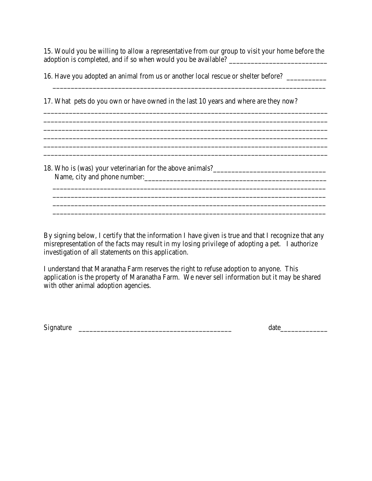15. Would you be willing to allow a representative from our group to visit your home before the adoption is completed, and if so when would you be available? \_\_\_\_\_\_\_\_\_\_\_\_\_\_\_\_\_\_\_\_\_\_\_\_\_\_\_

\_\_\_\_\_\_\_\_\_\_\_\_\_\_\_\_\_\_\_\_\_\_\_\_\_\_\_\_\_\_\_\_\_\_\_\_\_\_\_\_\_\_\_\_\_\_\_\_\_\_\_\_\_\_\_\_\_\_\_\_\_\_\_\_\_\_\_\_\_\_\_\_\_\_\_

\_\_\_\_\_\_\_\_\_\_\_\_\_\_\_\_\_\_\_\_\_\_\_\_\_\_\_\_\_\_\_\_\_\_\_\_\_\_\_\_\_\_\_\_\_\_\_\_\_\_\_\_\_\_\_\_\_\_\_\_\_\_\_\_\_\_\_\_\_\_\_\_\_\_\_\_\_\_ \_\_\_\_\_\_\_\_\_\_\_\_\_\_\_\_\_\_\_\_\_\_\_\_\_\_\_\_\_\_\_\_\_\_\_\_\_\_\_\_\_\_\_\_\_\_\_\_\_\_\_\_\_\_\_\_\_\_\_\_\_\_\_\_\_\_\_\_\_\_\_\_\_\_\_\_\_\_ \_\_\_\_\_\_\_\_\_\_\_\_\_\_\_\_\_\_\_\_\_\_\_\_\_\_\_\_\_\_\_\_\_\_\_\_\_\_\_\_\_\_\_\_\_\_\_\_\_\_\_\_\_\_\_\_\_\_\_\_\_\_\_\_\_\_\_\_\_\_\_\_\_\_\_\_\_\_

\_\_\_\_\_\_\_\_\_\_\_\_\_\_\_\_\_\_\_\_\_\_\_\_\_\_\_\_\_\_\_\_\_\_\_\_\_\_\_\_\_\_\_\_\_\_\_\_\_\_\_\_\_\_\_\_\_\_\_\_\_\_\_\_\_\_\_\_\_\_\_\_\_\_\_\_\_\_

\_\_\_\_\_\_\_\_\_\_\_\_\_\_\_\_\_\_\_\_\_\_\_\_\_\_\_\_\_\_\_\_\_\_\_\_\_\_\_\_\_\_\_\_\_\_\_\_\_\_\_\_\_\_\_\_\_\_\_\_\_\_\_\_\_\_\_\_\_\_\_\_\_\_\_

\_\_\_\_\_\_\_\_\_\_\_\_\_\_\_\_\_\_\_\_\_\_\_\_\_\_\_\_\_\_\_\_\_\_\_\_\_\_\_\_\_\_\_\_\_\_\_\_\_\_\_\_\_\_\_\_\_\_\_\_\_\_\_\_\_\_\_\_\_\_\_\_\_\_\_

16. Have you adopted an animal from us or another local rescue or shelter before? \_\_\_\_\_\_\_\_\_\_\_\_\_\_\_\_\_\_\_\_\_\_\_\_\_\_\_\_

17. What pets do you own or have owned in the last 10 years and where are they now?

18. Who is (was) your veterinarian for the above animals?\_\_\_\_\_\_\_\_\_\_\_\_\_\_\_\_\_\_\_\_\_\_\_\_ Name, city and phone number:\_\_\_\_\_\_\_\_\_\_\_\_\_\_\_\_\_\_\_\_\_\_\_\_\_\_\_\_\_\_\_\_\_\_\_\_\_\_\_\_\_\_\_\_\_\_\_\_\_\_

By signing below, I certify that the information I have given is true and that I recognize that any misrepresentation of the facts may result in my losing privilege of adopting a pet. I authorize investigation of all statements on this application.

I understand that Maranatha Farm reserves the right to refuse adoption to anyone. This application is the property of Maranatha Farm. We never sell information but it may be shared with other animal adoption agencies.

Signature \_\_\_\_\_\_\_\_\_\_\_\_\_\_\_\_\_\_\_\_\_\_\_\_\_\_\_\_\_\_\_\_\_\_\_\_\_\_\_\_\_\_ date\_\_\_\_\_\_\_\_\_\_\_\_\_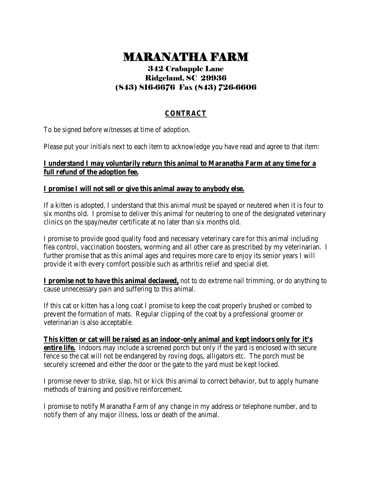# MARANATHA FARM 342 Crabapple Lane

## Ridgeland, SC 29936 (843) 816-6676 Fax (843) 726-6606

### **CONTRACT**

To be signed before witnesses at time of adoption.

Please put your initials next to each item to acknowledge you have read and agree to that item:

#### **I understand I may voluntarily return this animal to Maranatha Farm at any time for a full refund of the adoption fee.**

#### **I promise I will not sell or give this animal away to anybody else.**

If a kitten is adopted, I understand that this animal must be spayed or neutered when it is four to six months old. I promise to deliver this animal for neutering to one of the designated veterinary clinics on the spay/neuter certificate at no later than six months old.

I promise to provide good quality food and necessary veterinary care for this animal including flea control, vaccination boosters, worming and all other care as prescribed by my veterinarian. I further promise that as this animal ages and requires more care to enjoy its senior years I will provide it with every comfort possible such as arthritis relief and special diet.

**I promise not to have this animal declawed,** not to do extreme nail trimming, or do anything to cause unnecessary pain and suffering to this animal.

If this cat or kitten has a long coat I promise to keep the coat properly brushed or combed to prevent the formation of mats. Regular clipping of the coat by a professional groomer or veterinarian is also acceptable.

**This kitten or cat will be raised as an indoor-only animal and kept indoors only for it's entire life.** Indoors may include a screened porch but only if the yard is enclosed with secure fence so the cat will not be endangered by roving dogs, alligators etc. The porch must be securely screened and either the door or the gate to the yard must be kept locked.

I promise never to strike, slap, hit or kick this animal to correct behavior, but to apply humane methods of training and positive reinforcement.

I promise to notify Maranatha Farm of any change in my address or telephone number, and to notify them of any major illness, loss or death of the animal.